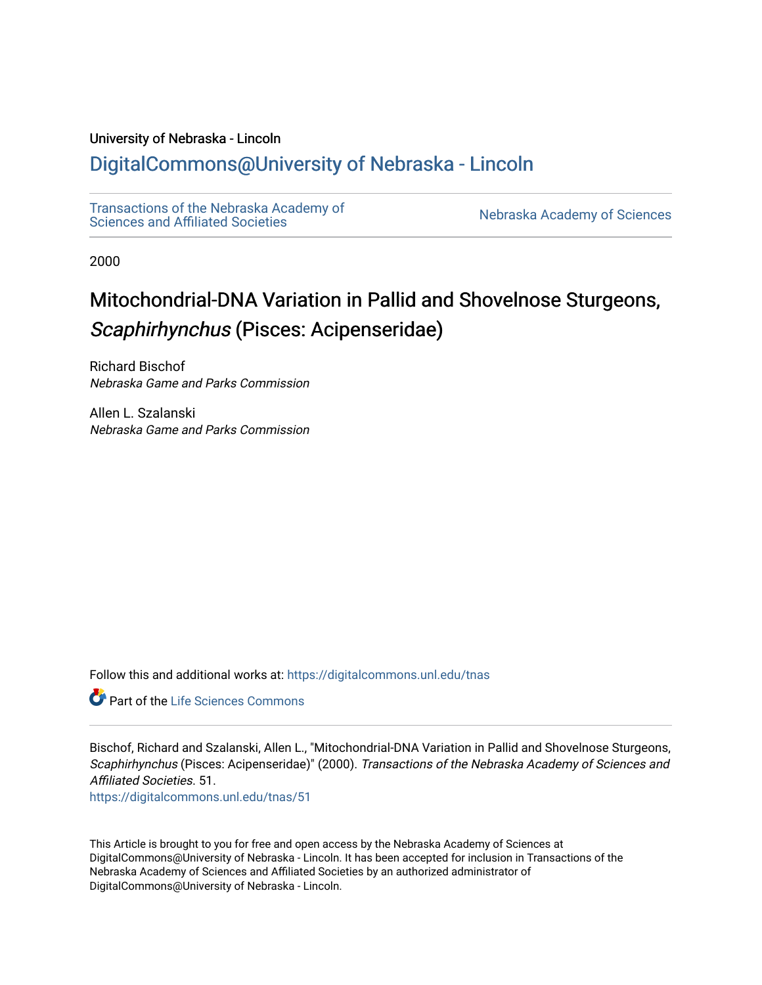## University of Nebraska - Lincoln

# [DigitalCommons@University of Nebraska - Lincoln](https://digitalcommons.unl.edu/)

[Transactions of the Nebraska Academy of](https://digitalcommons.unl.edu/tnas)  Transactions of the Nebraska Academy of Sciences<br>Sciences and Affiliated Societies

2000

# Mitochondrial-DNA Variation in Pallid and Shovelnose Sturgeons, Scaphirhynchus (Pisces: Acipenseridae)

Richard Bischof Nebraska Game and Parks Commission

Allen L. Szalanski Nebraska Game and Parks Commission

Follow this and additional works at: [https://digitalcommons.unl.edu/tnas](https://digitalcommons.unl.edu/tnas?utm_source=digitalcommons.unl.edu%2Ftnas%2F51&utm_medium=PDF&utm_campaign=PDFCoverPages) 

**Part of the Life Sciences Commons** 

Bischof, Richard and Szalanski, Allen L., "Mitochondrial-DNA Variation in Pallid and Shovelnose Sturgeons, Scaphirhynchus (Pisces: Acipenseridae)" (2000). Transactions of the Nebraska Academy of Sciences and Affiliated Societies. 51.

[https://digitalcommons.unl.edu/tnas/51](https://digitalcommons.unl.edu/tnas/51?utm_source=digitalcommons.unl.edu%2Ftnas%2F51&utm_medium=PDF&utm_campaign=PDFCoverPages)

This Article is brought to you for free and open access by the Nebraska Academy of Sciences at DigitalCommons@University of Nebraska - Lincoln. It has been accepted for inclusion in Transactions of the Nebraska Academy of Sciences and Affiliated Societies by an authorized administrator of DigitalCommons@University of Nebraska - Lincoln.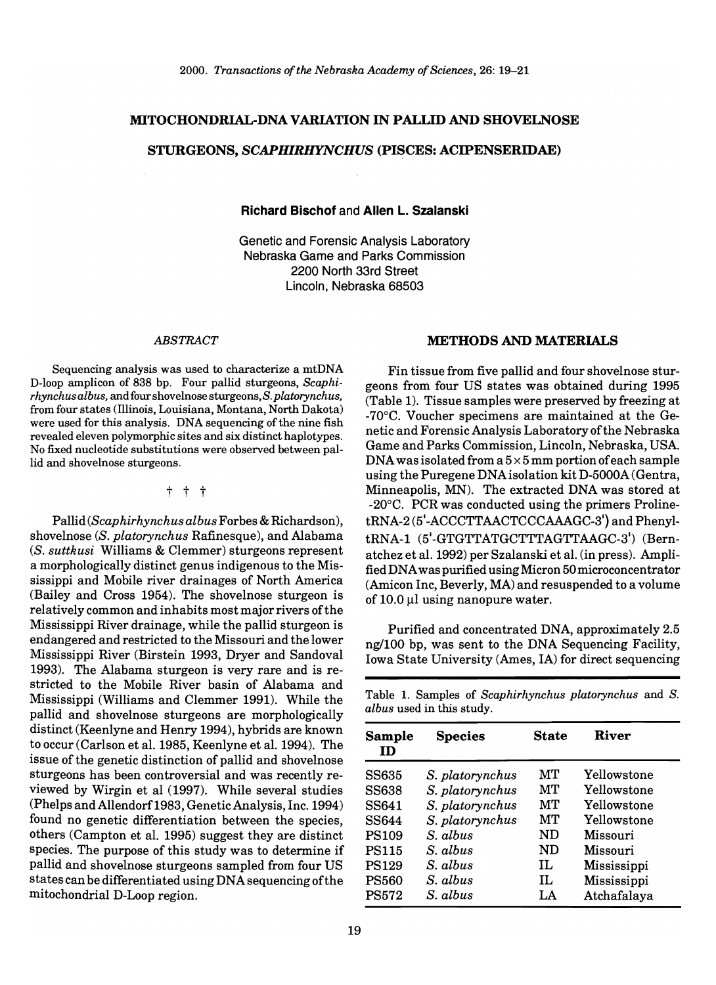#### MITOCHONDRIAL-DNA VARIATION IN PALLID AND SHOVELNOSE

#### STURGEONS, *SCAPHIRHYNCHUS* (PISCES: ACIPENSERIDAE)

#### Richard Bischof and Allen L. Szalanski

Genetic and Forensic Analysis Laboratory Nebraska Game and Parks Commission 2200 North 33rd Street Lincoln, Nebraska 68503

#### *ABSTRACT*

Sequencing analysis was used to characterize a mtDNA D-Ioop amplicon of 838 bp. Four pallid sturgeons, *Scaphirhynchus albus,* and four shovelnose sturgeons, S. *platorynchus,*  from four states (Illinois, Louisiana, Montana, North Dakota) were used for this analysis. DNA sequencing of the nine fish revealed eleven polymorphic sites and six distinct haplotypes. No fixed nucleotide substitutions were observed between pallid and shovelnose sturgeons.

#### t t t

Pallid *(Scaphirhynchus albus* Forbes & Richardson), shovelnose *(S. platorynchus Rafinesque)*, and Alabama *(S. suttkusi* Williams & Clemmer) sturgeons represent a morphologically distinct genus indigenous to the Mississippi and Mobile river drainages of North America (Bailey and Cross 1954). The shovelnose sturgeon is relatively common and inhabits most major rivers of the Mississippi River drainage, while the pallid sturgeon is endangered and restricted to the Missouri and the lower Mississippi River (Birstein 1993, Dryer and Sandoval 1993). The Alabama sturgeon is very rare and is restricted to the Mobile River basin of Alabama and Mississippi (Williams and Clemmer 1991). While the pallid and shovelnose sturgeons are morphologically distinct (Keenlyne and Henry 1994), hybrids are known to occur (Carlson et a1. 1985, Keenlyne et a1. 1994). The issue of the genetic distinction of pallid and shovelnose sturgeons has been controversial and was recently reviewed by Wirgin et al (1997). While several studies (Phelps and Allendorf1983, Genetic Analysis, Inc. 1994) found no genetic differentiation between the species, others (Campton et a1. 1995) suggest they are distinct species. The purpose of this study was to determine if pallid and shovelnose sturgeons sampled from four US states can be differentiated using DNA sequencing of the mitochondrial D-Loop region.

#### METHODS AND MATERIALS

Fin tissue from five pallid and four shovelnose sturgeons from four US states was obtained during 1995 (Table 1). Tissue samples were preserved by freezing at -70°C. Voucher specimens are maintained at the Genetic and Forensic Analysis Laboratory of the Nebraska Game and Parks Commission, Lincoln, Nebraska, USA. DNA was isolated from a  $5 \times 5$  mm portion of each sample using the Puregene DNA isolation kit D-5000A (Gentra, Minneapolis, MN). The extracted DNA was stored at -20°C. PCR was conducted using the primers ProlinetRNA-2 (5'-ACCCTTAACTCCCAAAGC-3') and PhenyltRNA-1 (5'-GTGTTATGCTTTAGTTAAGC-3') (Bernatchez et a1. 1992) per Szalanski et a1. (in press). Amplified DNA was purified using Micron 50microconcentrator (Amicon Inc, Beverly, MA) and resuspended to a volume of  $10.0 \,\mathrm{\upmu}$ l using nanopure water.

Purified and concentrated DNA, approximately 2.5 ng/lOO bp, was sent to the DNA Sequencing Facility, Iowa State University (Ames, IA) for direct sequencing

Table 1. Samples of *Scaphirhynchus platorynchus* and S. *alb us* used in this study.

| <b>Sample</b><br>ID | <b>Species</b>  | <b>State</b> | River       |
|---------------------|-----------------|--------------|-------------|
| <b>SS635</b>        | S. platorynchus | MТ           | Yellowstone |
| <b>SS638</b>        | S. platorynchus | MТ           | Yellowstone |
| SS641               | S. platorynchus | MТ           | Yellowstone |
| <b>SS644</b>        | S. platorynchus | MТ           | Yellowstone |
| <b>PS109</b>        | S. albus        | ND           | Missouri    |
| <b>PS115</b>        | S. albus        | ND           | Missouri    |
| <b>PS129</b>        | S. albus        | Н.           | Mississippi |
| <b>PS560</b>        | S. albus        | IL           | Mississippi |
| <b>PS572</b>        | S. albus        | LA           | Atchafalaya |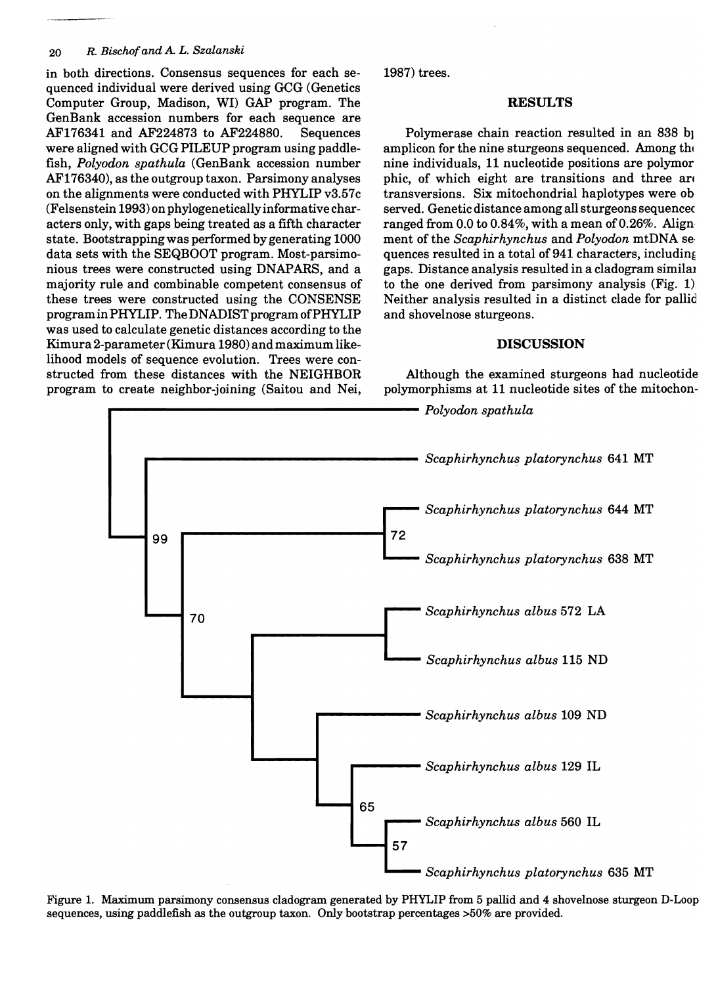#### *20 R. Bischof and* A *L. Szalanski*

in both directions. Consensus sequences for each sequenced individual were derived using GCG (Genetics Computer Group, Madison, WI) GAP program. The GenBank accession numbers for each sequence are AF176341 and AF224873 to AF224880. Sequences were aligned with GCG PILEUP program using paddlefish, *Polyodon spathula* (GenBank accession number AF176340), as the outgroup taxon. Parsimony analyses on the alignments were conducted with PHYLIP v3.57c (Felsenstein 1993) on phylogeneticallyinformative characters only, with gaps being treated as a fifth character state. Bootstrapping was performed by generating 1000 data sets with the SEQBOOT program. Most-parsimonious trees were constructed using DNAPARS, and a majority rule and combinable competent consensus of these trees were constructed using the CONSENSE program in PHYLIP. The DNADIST program ofPHYLIP was used to calculate genetic distances according to the Kimura 2-parameter (Kimura 1980) and maximum likelihood models of sequence evolution. Trees were constructed from these distances with the NEIGHBOR program to create neighbor-joining (Saitou and Nei, 1987) trees.

#### **RESULTS**

Polymerase chain reaction resulted in an 838 b amplicon for the nine sturgeons sequenced. Among the nine individuals, 11 nucleotide positions are polymor phic, of which eight are transitions and three are transversions. Six mitochondrial haplotypes were ob served. Genetic distance among all sturgeons sequencec ranged from 0.0 to 0.84%, with a mean of 0.26%. Align ment of the *Scaphirhynchus* and *Polyodon* mtDNA se· quences resulted in a total of  $941$  characters, including gaps. Distance analysis resulted in a cladogram similal to the one derived from parsimony analysis (Fig. 1) Neither analysis resulted in a distinct clade for pallid and shovelnose sturgeons.

#### **DISCUSSION**

Although the examined sturgeons had nucleotide polymorphisms at 11 nucleotide sites of the mitochon-



Figure 1. Maximum parsimony consensus cladogram generated by PHYLIP from 5 pallid and 4 shovelnose sturgeon D-Loop sequences, using paddlefish as the outgroup taxon. Only bootstrap percentages >50% are provided.